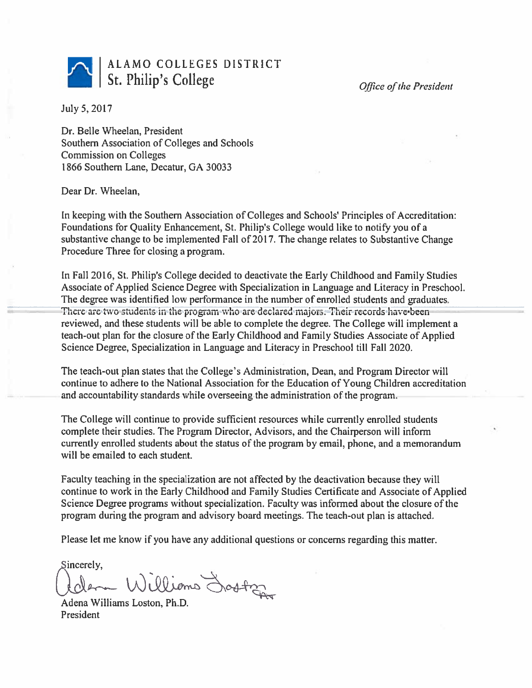ALAMO COLLEGES DISTRICT

Office of the President

July 5, 2017

Dr. Belle Wheelan, President Southern Association of Colleges and Schools Commission on Colleges 1866 Southern Lane, Decatur, GA 30033

#### Dear Dr. Wheelan,

In keeping with the Southern Association of Colleges and Schools' Principles of Accreditation: Foundations for Quality Enhancement, St. Philip's College would like to notify you of a substantive change to be implemented Fall of 2017. The change relates to Substantive Change Procedure Three for closing a program.

In Fall 2016, St. Philip's College decided to deactivate the Early Childhood and Family Studies Associate of Applied Science Degree with Specialization in Language and Literacy in Preschool. The degree was identified low performance in the number of enrolled students and graduates. There are two students in the program who are declared majors. Their records have been reviewed, and these students will be able to complete the degree. The College will implement a teach-out plan for the closure of the Early Childhood and Family Studies Associate of Applied Science Degree, Specialization in Language and Literacy in Preschool till Fall 2020.

The teach-out plan states that the College's Administration, Dean, and Program Director will continue to adhere to the National Association for the Education of Young Children accreditation and accountability standards while overseeing the administration of the program.

The College will continue to provide sufficient resources while currently enrolled students complete their studies. The Program Director, Advisors, and the Chairperson will inform currently enrolled students about the status of the program by email, phone, and a memorandum will be emailed to each student.

Faculty teaching in the specialization are not affected by the deactivation because they will continue to work in the Early Childhood and Family Studies Certificate and Associate of Applied Science Degree programs without specialization. Faculty was informed about the closure of the program during the program and advisory board meetings. The teach-out plan is attached.

Please let me know if you have any additional questions or concerns regarding this matter.

Sincerely, Williams Lostin

Adena Williams Loston, Ph.D. President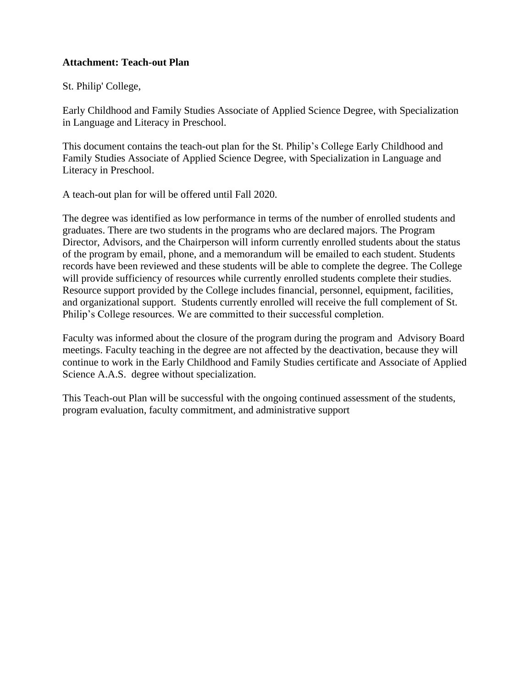# **Attachment: Teach-out Plan**

St. Philip' College,

Early Childhood and Family Studies Associate of Applied Science Degree, with Specialization in Language and Literacy in Preschool.

This document contains the teach-out plan for the St. Philip's College Early Childhood and Family Studies Associate of Applied Science Degree, with Specialization in Language and Literacy in Preschool.

A teach-out plan for will be offered until Fall 2020.

The degree was identified as low performance in terms of the number of enrolled students and graduates. There are two students in the programs who are declared majors. The Program Director, Advisors, and the Chairperson will inform currently enrolled students about the status of the program by email, phone, and a memorandum will be emailed to each student. Students records have been reviewed and these students will be able to complete the degree. The College will provide sufficiency of resources while currently enrolled students complete their studies. Resource support provided by the College includes financial, personnel, equipment, facilities, and organizational support. Students currently enrolled will receive the full complement of St. Philip's College resources. We are committed to their successful completion.

Faculty was informed about the closure of the program during the program and Advisory Board meetings. Faculty teaching in the degree are not affected by the deactivation, because they will continue to work in the Early Childhood and Family Studies certificate and Associate of Applied Science A.A.S. degree without specialization.

This Teach-out Plan will be successful with the ongoing continued assessment of the students, program evaluation, faculty commitment, and administrative support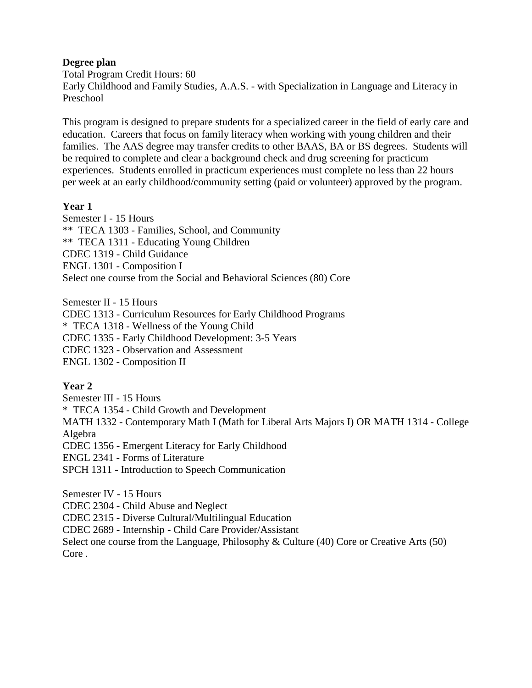### **Degree plan**

Total Program Credit Hours: 60 Early Childhood and Family Studies, A.A.S. - with Specialization in Language and Literacy in Preschool

This program is designed to prepare students for a specialized career in the field of early care and education. Careers that focus on family literacy when working with young children and their families. The AAS degree may transfer credits to other BAAS, BA or BS degrees. Students will be required to complete and clear a background check and drug screening for practicum experiences. Students enrolled in practicum experiences must complete no less than 22 hours per week at an early childhood/community setting (paid or volunteer) approved by the program.

# **Year 1**

Semester I - 15 Hours \*\* TECA 1303 - Families, School, and Community \*\* TECA 1311 - Educating Young Children CDEC 1319 - Child Guidance ENGL 1301 - Composition I Select one course from the Social and Behavioral Sciences (80) Core

Semester II - 15 Hours

CDEC 1313 - Curriculum Resources for Early Childhood Programs

\* TECA 1318 - Wellness of the Young Child

CDEC 1335 - Early Childhood Development: 3-5 Years

CDEC 1323 - Observation and Assessment

ENGL 1302 - Composition II

### **Year 2**

Semester III - 15 Hours

\* TECA 1354 - Child Growth and Development

MATH 1332 - Contemporary Math I (Math for Liberal Arts Majors I) OR MATH 1314 - College Algebra

CDEC 1356 - Emergent Literacy for Early Childhood

ENGL 2341 - Forms of Literature

SPCH 1311 - Introduction to Speech Communication

Semester IV - 15 Hours

CDEC 2304 - Child Abuse and Neglect

CDEC 2315 - Diverse Cultural/Multilingual Education

CDEC 2689 - Internship - Child Care Provider/Assistant

Select one course from the Language, Philosophy & Culture (40) Core or Creative Arts (50) Core .